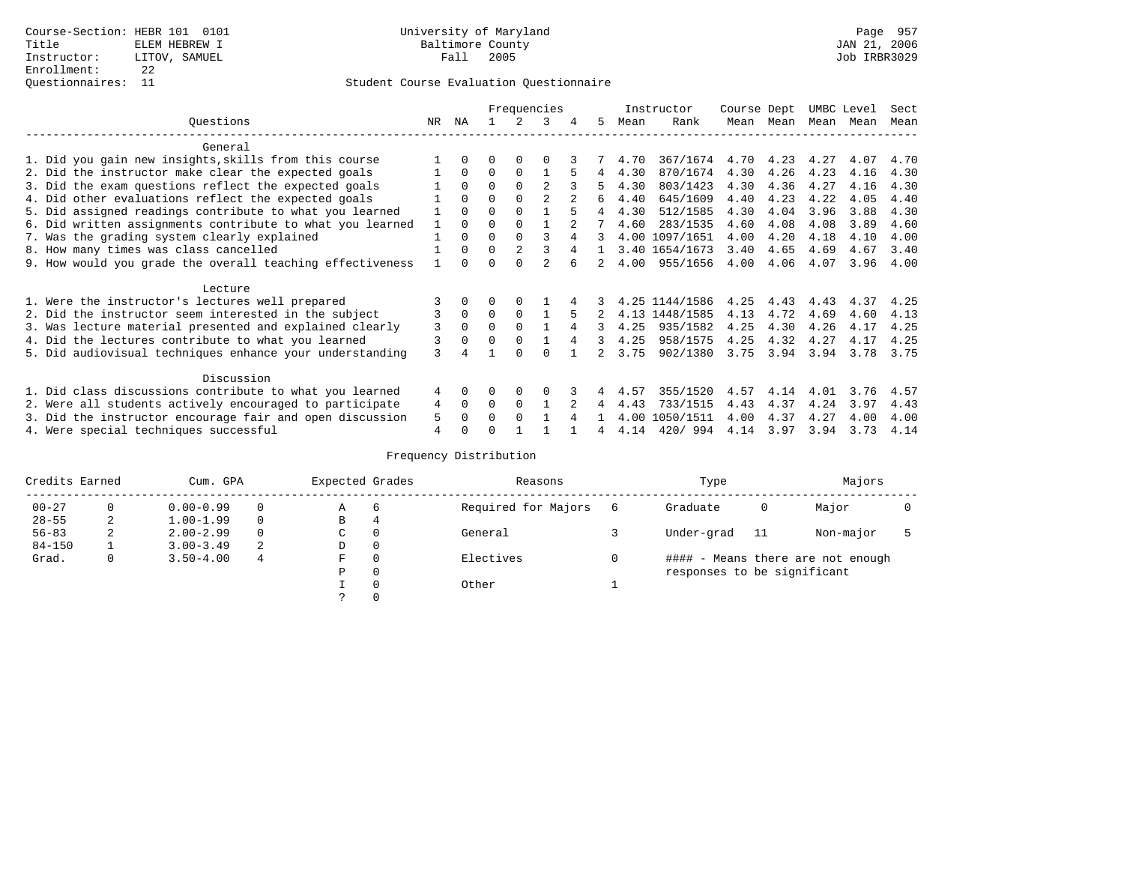### Student Course Evaluation Questionnaire

|                                                           |     | Frequencies  |          |          |                |   |    |      | Instructor     | Course Dept |      | UMBC Level |      | Sect |
|-----------------------------------------------------------|-----|--------------|----------|----------|----------------|---|----|------|----------------|-------------|------|------------|------|------|
| Questions                                                 | NR. | ΝA           |          |          | 3              | 4 | 5. | Mean | Rank           | Mean        | Mean | Mean       | Mean | Mean |
| General                                                   |     |              |          |          |                |   |    |      |                |             |      |            |      |      |
| 1. Did you gain new insights, skills from this course     |     | $\Omega$     | U        | $\Omega$ | O              |   |    | 4.70 | 367/1674       | 4.70        | 4.23 | 4.27       | 4.07 | 4.70 |
| 2. Did the instructor make clear the expected goals       |     | $\Omega$     | $\Omega$ | $\Omega$ |                |   | 4  | 4.30 | 870/1674       | 4.30        | 4.26 | 4.23       | 4.16 | 4.30 |
| 3. Did the exam questions reflect the expected goals      |     | $\Omega$     | $\Omega$ | $\Omega$ | $\mathfrak{D}$ |   |    | 4.30 | 803/1423       | 4.30        | 4.36 | 4.27       | 4.16 | 4.30 |
| 4. Did other evaluations reflect the expected goals       |     | $\Omega$     | O        | $\Omega$ | $\mathfrak{D}$ |   | 6  | 4.40 | 645/1609       | 4.40        | 4.23 | 4.22       | 4.05 | 4.40 |
| 5. Did assigned readings contribute to what you learned   |     | $\Omega$     | O        |          |                |   |    | 4.30 | 512/1585       | 4.30        | 4.04 | 3.96       | 3.88 | 4.30 |
| 6. Did written assignments contribute to what you learned |     | $\Omega$     |          |          |                |   |    | 4.60 | 283/1535       | 4.60        | 4.08 | 4.08       | 3.89 | 4.60 |
| 7. Was the grading system clearly explained               |     | $\Omega$     | U        | $\Omega$ |                |   |    |      | 4.00 1097/1651 | 4.00        | 4.20 | 4.18       | 4.10 | 4.00 |
| 8. How many times was class cancelled                     |     | $\Omega$     | $\Omega$ | 2        |                |   |    |      | 3.40 1654/1673 | 3.40        | 4.65 | 4.69       | 4.67 | 3.40 |
| 9. How would you grade the overall teaching effectiveness |     | <sup>n</sup> |          |          | $\mathcal{D}$  |   |    | 4.00 | 955/1656       | 4.00        | 4.06 | 4.07       | 3.96 | 4.00 |
| Lecture                                                   |     |              |          |          |                |   |    |      |                |             |      |            |      |      |
| 1. Were the instructor's lectures well prepared           |     |              |          |          |                |   |    |      | 4.25 1144/1586 | 4.25        | 4.43 | 4.43       | 4.37 | 4.25 |
| 2. Did the instructor seem interested in the subject      |     | $\mathbf{0}$ | $\Omega$ | $\Omega$ |                |   |    |      | 4.13 1448/1585 | 4.13        | 4.72 | 4.69       | 4.60 | 4.13 |
| 3. Was lecture material presented and explained clearly   | 3   | $\Omega$     | 0        | $\Omega$ |                |   | 3  | 4.25 | 935/1582       | 4.25        | 4.30 | 4.26       | 4.17 | 4.25 |
| 4. Did the lectures contribute to what you learned        | 3   | $\Omega$     | $\Omega$ | $\Omega$ |                |   |    | 4.25 | 958/1575       | 4.25        | 4.32 | 4.27       | 4.17 | 4.25 |
| 5. Did audiovisual techniques enhance your understanding  | ζ   |              |          | U        |                |   |    | 3.75 | 902/1380       | 3.75        | 3.94 | 3.94       | 3.78 | 3.75 |
| Discussion                                                |     |              |          |          |                |   |    |      |                |             |      |            |      |      |
| 1. Did class discussions contribute to what you learned   | 4   | $\Omega$     | O        | $\Omega$ | O              |   |    | 4.57 | 355/1520       | 4.57        | 4.14 | 4.01       | 3.76 | 4.57 |
| 2. Were all students actively encouraged to participate   | 4   | $\Omega$     | $\Omega$ | $\Omega$ |                |   | 4  | 4.43 | 733/1515       | 4.43        | 4.37 | 4.24       | 3.97 | 4.43 |
| 3. Did the instructor encourage fair and open discussion  | 5   |              | U        | $\Omega$ |                |   |    | 4.00 | 1050/1511      | 4.00        | 4.37 | 4.27       | 4.00 | 4.00 |
| 4. Were special techniques successful                     | 4   |              |          |          |                |   |    | 4.14 | 420/994        | 4.14        | 3.97 | 3.94       | 3.73 | 4.14 |

| Credits Earned |   | Cum. GPA      |          |    | Expected Grades | Reasons             |   | Type                        |     | Majors                            |  |
|----------------|---|---------------|----------|----|-----------------|---------------------|---|-----------------------------|-----|-----------------------------------|--|
| $00 - 27$      |   | $0.00 - 0.99$ |          | Α  | 6               | Required for Majors | 6 | Graduate                    | 0   | Major                             |  |
| $28 - 55$      | 2 | $1.00 - 1.99$ | $\Omega$ | В  | 4               |                     |   |                             |     |                                   |  |
| $56 - 83$      | 2 | $2.00 - 2.99$ |          | C. | $\Omega$        | General             |   | Under-grad                  | -11 | Non-major                         |  |
| $84 - 150$     |   | $3.00 - 3.49$ | 2        | D  | 0               |                     |   |                             |     |                                   |  |
| Grad.          | 0 | $3.50 - 4.00$ | 4        | F  | $\Omega$        | Electives           |   |                             |     | #### - Means there are not enough |  |
|                |   |               |          | Ρ  | 0               |                     |   | responses to be significant |     |                                   |  |
|                |   |               |          |    | $\Omega$        | Other               |   |                             |     |                                   |  |
|                |   |               |          |    |                 |                     |   |                             |     |                                   |  |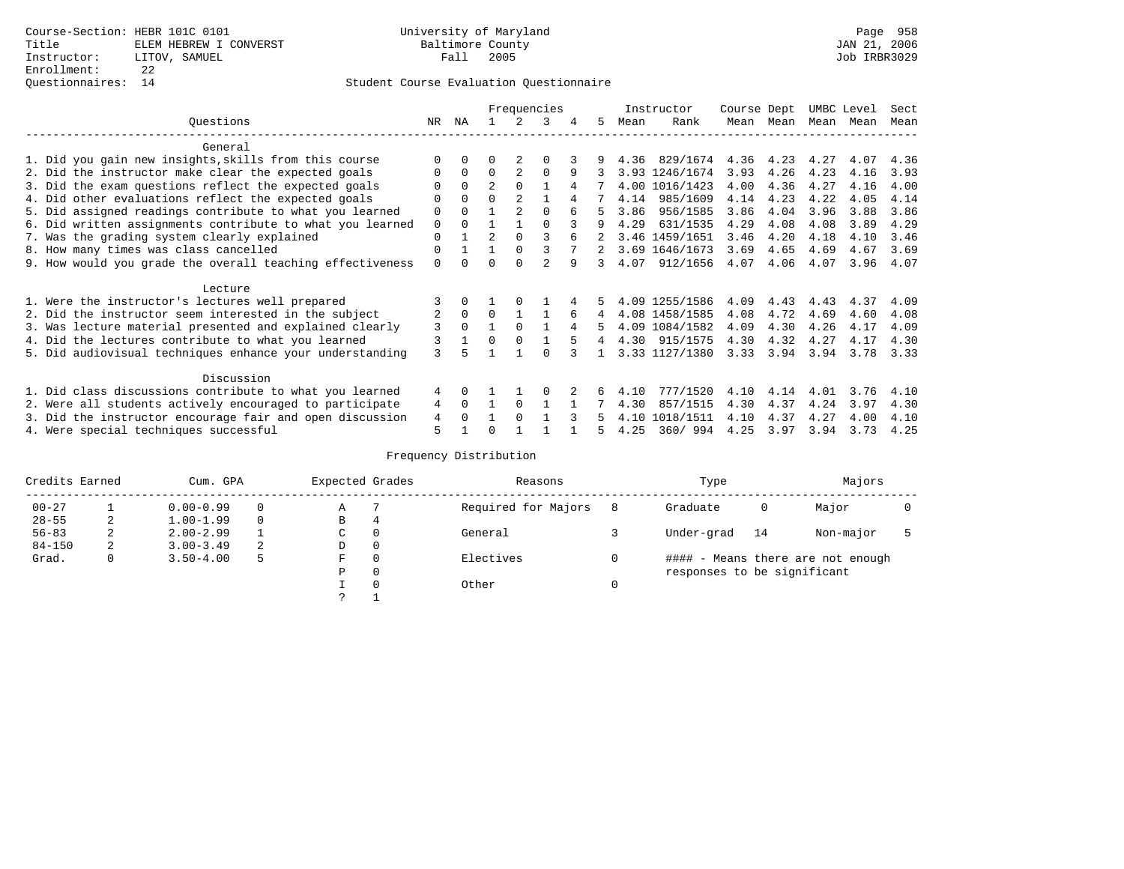|                                                           |          | Frequencies  |                |                |               |   |    |      | Instructor     | Course Dept |      | UMBC Level |      | Sect |
|-----------------------------------------------------------|----------|--------------|----------------|----------------|---------------|---|----|------|----------------|-------------|------|------------|------|------|
| Questions                                                 | NR.      | ΝA           |                |                | 3             | 4 | 5. | Mean | Rank           | Mean        | Mean | Mean       | Mean | Mean |
| General                                                   |          |              |                |                |               |   |    |      |                |             |      |            |      |      |
| 1. Did you gain new insights, skills from this course     |          | $\Omega$     | O              |                | O             |   |    | 4.36 | 829/1674       | 4.36        | 4.23 | 4.27       | 4.07 | 4.36 |
| 2. Did the instructor make clear the expected goals       |          | $\Omega$     | $\Omega$       | 2              | $\Omega$      | 9 |    |      | 3.93 1246/1674 | 3.93        | 4.26 | 4.23       | 4.16 | 3.93 |
| 3. Did the exam questions reflect the expected goals      |          | $\Omega$     | $\overline{a}$ | $\Omega$       |               | 4 |    |      | 4.00 1016/1423 | 4.00        | 4.36 | 4.27       | 4.16 | 4.00 |
| 4. Did other evaluations reflect the expected goals       | O        | $\Omega$     | 0              | 2              |               |   |    | 4.14 | 985/1609       | 4.14        | 4.23 | 4.22       | 4.05 | 4.14 |
| 5. Did assigned readings contribute to what you learned   | 0        | $\Omega$     |                | $\mathfrak{D}$ | $\Omega$      |   |    | 3.86 | 956/1585       | 3.86        | 4.04 | 3.96       | 3.88 | 3.86 |
| 6. Did written assignments contribute to what you learned | 0        |              |                |                |               |   | 9  | 4.29 | 631/1535       | 4.29        | 4.08 | 4.08       | 3.89 | 4.29 |
| 7. Was the grading system clearly explained               | 0        |              | $\mathfrak{D}$ | $\Omega$       |               |   |    |      | 3.46 1459/1651 | 3.46        | 4.20 | 4.18       | 4.10 | 3.46 |
| 8. How many times was class cancelled                     | $\Omega$ |              |                | $\Omega$       |               |   | 2  |      | 3.69 1646/1673 | 3.69        | 4.65 | 4.69       | 4.67 | 3.69 |
| 9. How would you grade the overall teaching effectiveness | $\Omega$ |              |                |                | $\mathcal{D}$ | 9 | 3  | 4.07 | 912/1656       | 4.07        | 4.06 | 4.07       | 3.96 | 4.07 |
| Lecture                                                   |          |              |                |                |               |   |    |      |                |             |      |            |      |      |
| 1. Were the instructor's lectures well prepared           |          |              |                |                |               |   |    |      | 4.09 1255/1586 | 4.09        | 4.43 | 4.43       | 4.37 | 4.09 |
| 2. Did the instructor seem interested in the subject      | 2        | $\mathbf{0}$ | $\Omega$       |                |               | 6 | 4  |      | 4.08 1458/1585 | 4.08        | 4.72 | 4.69       | 4.60 | 4.08 |
| 3. Was lecture material presented and explained clearly   | 3        | $\Omega$     |                | $\Omega$       |               | 4 |    |      | 4.09 1084/1582 | 4.09        | 4.30 | 4.26       | 4.17 | 4.09 |
| 4. Did the lectures contribute to what you learned        |          |              | $\Omega$       | $\Omega$       |               |   | 4  |      | 4.30 915/1575  | 4.30        | 4.32 | 4.27       | 4.17 | 4.30 |
| 5. Did audiovisual techniques enhance your understanding  | ζ        |              |                |                |               |   |    |      | 3.33 1127/1380 | 3.33        | 3.94 | 3.94       | 3.78 | 3.33 |
|                                                           |          |              |                |                |               |   |    |      |                |             |      |            |      |      |
| Discussion                                                |          |              |                |                |               |   |    |      |                |             |      |            |      |      |
| 1. Did class discussions contribute to what you learned   | 4        | $\Omega$     |                |                |               |   |    | 4.10 | 777/1520       | 4.10        | 4.14 | 4.01       | 3.76 | 4.10 |
| 2. Were all students actively encouraged to participate   | 4        | $\Omega$     |                | $\Omega$       |               |   |    | 4.30 | 857/1515       | 4.30        | 4.37 | 4.24       | 3.97 | 4.30 |
| 3. Did the instructor encourage fair and open discussion  | 4        |              |                | $\Omega$       |               |   |    | 4.10 | 1018/1511      | 4.10        | 4.37 | 4.27       | 4.00 | 4.10 |
| 4. Were special techniques successful                     | 5        |              |                |                |               |   |    | 4.25 | 360/994        | 4.25        | 3.97 | 3.94       | 3.73 | 4.25 |

| Credits Earned |   | Cum. GPA      |   |             | Expected Grades | Reasons             |   | Type                        |    |                                   |  |
|----------------|---|---------------|---|-------------|-----------------|---------------------|---|-----------------------------|----|-----------------------------------|--|
| $00 - 27$      |   | $0.00 - 0.99$ |   | Α           |                 | Required for Majors | 8 | Graduate                    | 0  | Major                             |  |
| $28 - 55$      | 2 | $1.00 - 1.99$ |   | В           | 4               |                     |   |                             |    |                                   |  |
| $56 - 83$      | 2 | $2.00 - 2.99$ |   | $\sim$<br>◡ | 0               | General             |   | Under-grad                  | 14 | Non-major                         |  |
| $84 - 150$     | 2 | $3.00 - 3.49$ | 2 | D           | 0               |                     |   |                             |    |                                   |  |
| Grad.          | 0 | $3.50 - 4.00$ | 5 | F           | 0               | Electives           | 0 |                             |    | #### - Means there are not enough |  |
|                |   |               |   | Ρ           | 0               |                     |   | responses to be significant |    |                                   |  |
|                |   |               |   |             | $\Omega$        | Other               |   |                             |    |                                   |  |
|                |   |               |   | C           |                 |                     |   |                             |    |                                   |  |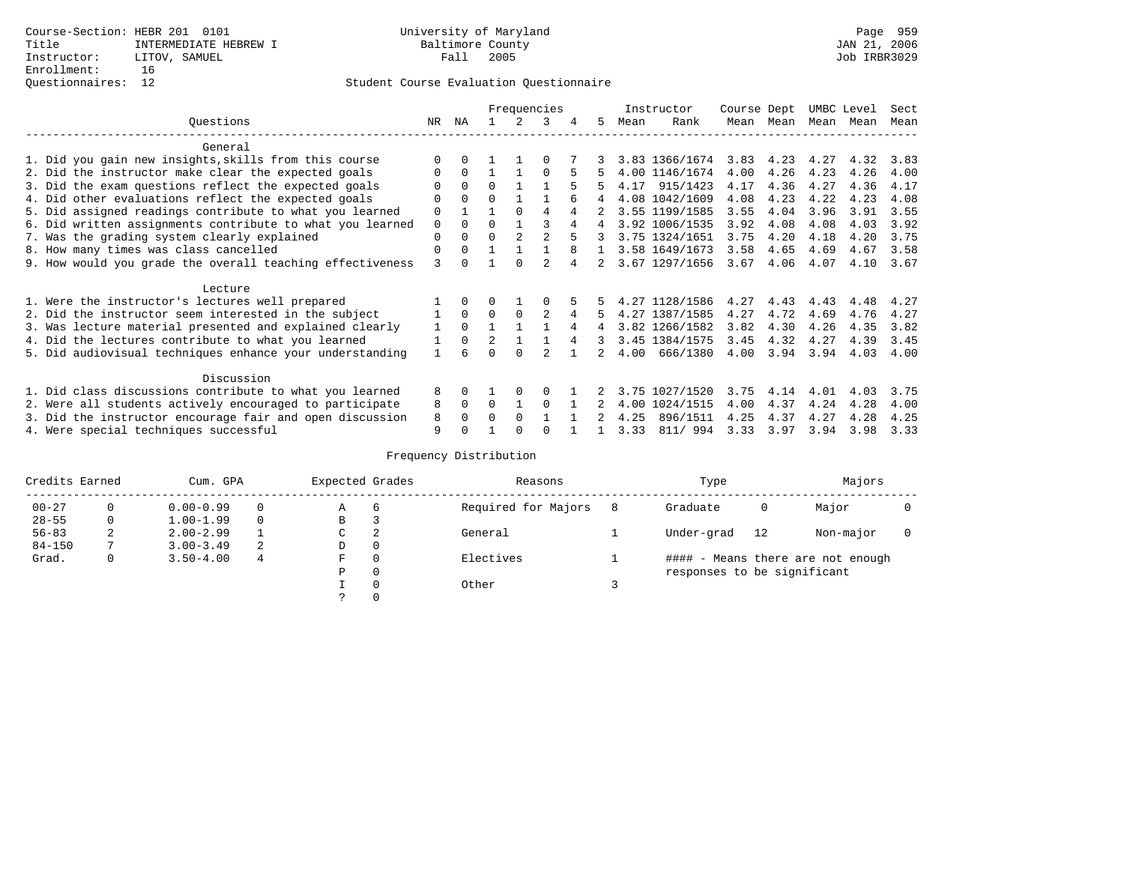## Questionnaires: 12 Student Course Evaluation Questionnaire

|                                                           |             |              | Frequencies    |          |          |   |                |      | Instructor     | Course Dept |           | UMBC Level |      | Sect |
|-----------------------------------------------------------|-------------|--------------|----------------|----------|----------|---|----------------|------|----------------|-------------|-----------|------------|------|------|
| Ouestions                                                 | NR.         | ΝA           |                |          | 3        |   | 5.             | Mean | Rank           |             | Mean Mean | Mean       | Mean | Mean |
| General                                                   |             |              |                |          |          |   |                |      |                |             |           |            |      |      |
| 1. Did you gain new insights, skills from this course     |             |              |                |          |          |   |                |      | 3.83 1366/1674 | 3.83        | 4.23      | 4.27       | 4.32 | 3.83 |
| 2. Did the instructor make clear the expected goals       | O           | $\Omega$     |                |          | $\Omega$ | 5 |                |      | 4.00 1146/1674 | 4.00        | 4.26      | 4.23       | 4.26 | 4.00 |
| 3. Did the exam questions reflect the expected goals      |             | $\Omega$     | $\Omega$       |          |          |   | 5              | 4.17 | 915/1423       | 4.17        | 4.36      | 4.27       | 4.36 | 4.17 |
| 4. Did other evaluations reflect the expected goals       | O           | $\Omega$     | $\Omega$       |          |          |   | 4              |      | 4.08 1042/1609 | 4.08        | 4.23      | 4.22       | 4.23 | 4.08 |
| 5. Did assigned readings contribute to what you learned   | $\mathbf 0$ |              |                | $\Omega$ | 4        |   |                |      | 3.55 1199/1585 | 3.55        | 4.04      | 3.96       | 3.91 | 3.55 |
| 6. Did written assignments contribute to what you learned | $\mathbf 0$ | $\Omega$     | $\Omega$       |          |          |   | $\overline{4}$ |      | 3.92 1006/1535 | 3.92        | 4.08      | 4.08       | 4.03 | 3.92 |
| 7. Was the grading system clearly explained               | $\mathbf 0$ | $\Omega$     | $\Omega$       |          |          |   |                |      | 3.75 1324/1651 | 3.75        | 4.20      | 4.18       | 4.20 | 3.75 |
| 8. How many times was class cancelled                     | 0           | $\Omega$     |                |          |          |   |                |      | 3.58 1649/1673 | 3.58        | 4.65      | 4.69       | 4.67 | 3.58 |
| 9. How would you grade the overall teaching effectiveness | 3           | <sup>n</sup> |                | ∩        |          |   |                |      | 3.67 1297/1656 | 3.67        | 4.06      | 4.07       | 4.10 | 3.67 |
| Lecture                                                   |             |              |                |          |          |   |                |      |                |             |           |            |      |      |
| 1. Were the instructor's lectures well prepared           |             |              |                |          |          |   |                |      | 4.27 1128/1586 | 4.27        | 4.43      | 4.43       | 4.48 | 4.27 |
| 2. Did the instructor seem interested in the subject      |             | $\Omega$     | $\Omega$       | $\Omega$ | 2        | 4 |                |      | 4.27 1387/1585 | 4.27        | 4.72      | 4.69       | 4.76 | 4.27 |
| 3. Was lecture material presented and explained clearly   | 1           | $\Omega$     |                |          |          |   | 4              |      | 3.82 1266/1582 | 3.82        | 4.30      | 4.26       | 4.35 | 3.82 |
| 4. Did the lectures contribute to what you learned        |             | $\Omega$     | $\mathfrak{D}$ |          |          |   | 3              |      | 3.45 1384/1575 | 3.45        | 4.32      | 4.27       | 4.39 | 3.45 |
| 5. Did audiovisual techniques enhance your understanding  |             |              |                |          |          |   |                | 4.00 | 666/1380       | 4.00        | 3.94      | 3.94       | 4.03 | 4.00 |
| Discussion                                                |             |              |                |          |          |   |                |      |                |             |           |            |      |      |
| 1. Did class discussions contribute to what you learned   | 8           | 0            |                | $\Omega$ | $\Omega$ |   |                |      | 3.75 1027/1520 | 3.75        | 4.14      | 4.01       | 4.03 | 3.75 |
| 2. Were all students actively encouraged to participate   | 8           | $\Omega$     | $\Omega$       |          | $\Omega$ |   |                | 4.00 | 1024/1515      | 4.00        | 4.37      | 4.24       | 4.28 | 4.00 |
| 3. Did the instructor encourage fair and open discussion  | 8           |              | O              | $\Omega$ |          |   |                | 4.25 | 896/1511       | 4.25        | 4.37      | 4.27       | 4.28 | 4.25 |
| 4. Were special techniques successful                     | 9           |              |                |          |          |   |                | 3.33 | 811/994        | 3.33        | 3.97      | 3.94       | 3.98 | 3.33 |

| Credits Earned |          | Cum. GPA      |   |             | Expected Grades | Reasons             |   | Type                        |    | Majors                            |  |  |
|----------------|----------|---------------|---|-------------|-----------------|---------------------|---|-----------------------------|----|-----------------------------------|--|--|
| $00 - 27$      | $\Omega$ | $0.00 - 0.99$ |   | А           | 6               | Required for Majors | 8 | Graduate                    | 0  | Major                             |  |  |
| $28 - 55$      | 0        | $1.00 - 1.99$ |   | В           | 3               |                     |   |                             |    |                                   |  |  |
| $56 - 83$      | 2        | $2.00 - 2.99$ |   | $\sim$<br>◡ | 2               | General             |   | Under-grad                  | 12 | Non-major                         |  |  |
| $84 - 150$     |          | $3.00 - 3.49$ | 2 | D           | 0               |                     |   |                             |    |                                   |  |  |
| Grad.          | 0        | $3.50 - 4.00$ | 4 | F           | 0               | Electives           |   |                             |    | #### - Means there are not enough |  |  |
|                |          |               |   | Ρ           | 0               |                     |   | responses to be significant |    |                                   |  |  |
|                |          |               |   |             | $\Omega$        | Other               |   |                             |    |                                   |  |  |
|                |          |               |   |             |                 |                     |   |                             |    |                                   |  |  |